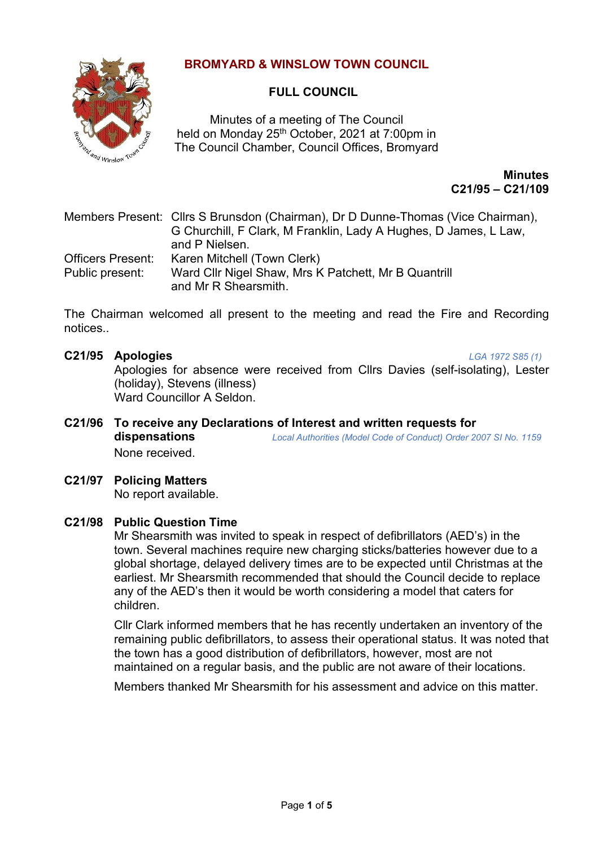# **BROMYARD & WINSLOW TOWN COUNCIL**



# **FULL COUNCIL**

Minutes of a meeting of The Council held on Monday 25<sup>th</sup> October, 2021 at 7:00pm in The Council Chamber, Council Offices, Bromyard

> **Minutes C21/95 – C21/109**

Members Present: Cllrs S Brunsdon (Chairman), Dr D Dunne-Thomas (Vice Chairman), G Churchill, F Clark, M Franklin, Lady A Hughes, D James, L Law, and P Nielsen. Officers Present: Karen Mitchell (Town Clerk) Public present: Ward Cllr Nigel Shaw, Mrs K Patchett, Mr B Quantrill and Mr R Shearsmith.

The Chairman welcomed all present to the meeting and read the Fire and Recording notices..

**C21/95 Apologies** *LGA 1972 S85 (1)*  Apologies for absence were received from Cllrs Davies (self-isolating), Lester (holiday), Stevens (illness)

Ward Councillor A Seldon.

- **C21/96 To receive any Declarations of Interest and written requests for dispensations** *Local Authorities (Model Code of Conduct) Order 2007 SI No. 1159* None received.
- **C21/97 Policing Matters**

No report available.

# **C21/98 Public Question Time**

Mr Shearsmith was invited to speak in respect of defibrillators (AED's) in the town. Several machines require new charging sticks/batteries however due to a global shortage, delayed delivery times are to be expected until Christmas at the earliest. Mr Shearsmith recommended that should the Council decide to replace any of the AED's then it would be worth considering a model that caters for children.

Cllr Clark informed members that he has recently undertaken an inventory of the remaining public defibrillators, to assess their operational status. It was noted that the town has a good distribution of defibrillators, however, most are not maintained on a regular basis, and the public are not aware of their locations.

Members thanked Mr Shearsmith for his assessment and advice on this matter.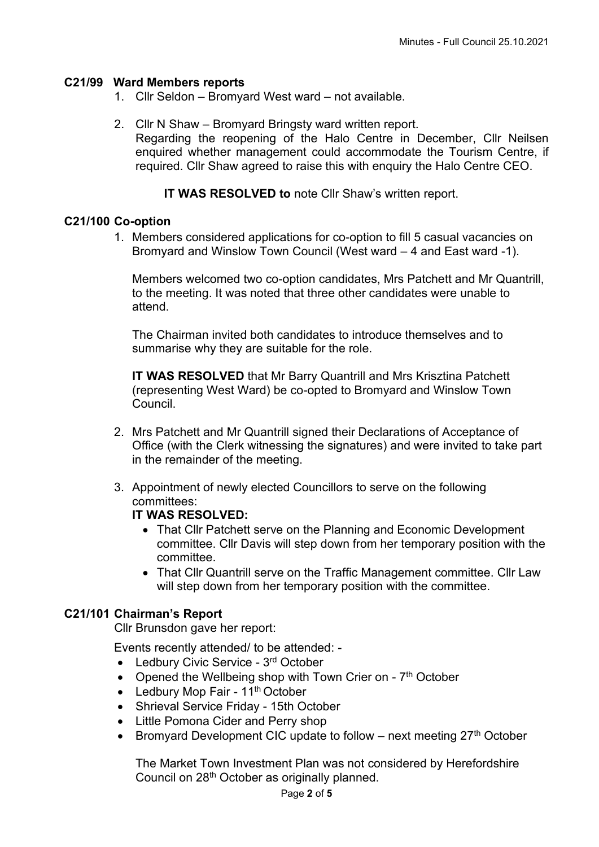# **C21/99 Ward Members reports**

- 1. Cllr Seldon Bromyard West ward not available.
- 2. Cllr N Shaw Bromyard Bringsty ward written report. Regarding the reopening of the Halo Centre in December, Cllr Neilsen enquired whether management could accommodate the Tourism Centre, if required. Cllr Shaw agreed to raise this with enquiry the Halo Centre CEO.

**IT WAS RESOLVED to** note Cllr Shaw's written report.

# **C21/100 Co-option**

1. Members considered applications for co-option to fill 5 casual vacancies on Bromyard and Winslow Town Council (West ward – 4 and East ward -1).

Members welcomed two co-option candidates, Mrs Patchett and Mr Quantrill, to the meeting. It was noted that three other candidates were unable to attend.

The Chairman invited both candidates to introduce themselves and to summarise why they are suitable for the role.

**IT WAS RESOLVED** that Mr Barry Quantrill and Mrs Krisztina Patchett (representing West Ward) be co-opted to Bromyard and Winslow Town Council.

- 2. Mrs Patchett and Mr Quantrill signed their Declarations of Acceptance of Office (with the Clerk witnessing the signatures) and were invited to take part in the remainder of the meeting.
- 3. Appointment of newly elected Councillors to serve on the following committees:

# **IT WAS RESOLVED:**

- That Cllr Patchett serve on the Planning and Economic Development committee. Cllr Davis will step down from her temporary position with the committee.
- That Cllr Quantrill serve on the Traffic Management committee. Cllr Law will step down from her temporary position with the committee.

# **C21/101 Chairman's Report**

Cllr Brunsdon gave her report:

Events recently attended/ to be attended: -

- Ledbury Civic Service 3<sup>rd</sup> October
- Opened the Wellbeing shop with Town Crier on 7<sup>th</sup> October
- Ledbury Mop Fair 11<sup>th</sup> October
- Shrieval Service Friday 15th October
- Little Pomona Cider and Perry shop
- Bromvard Development CIC update to follow next meeting  $27<sup>th</sup>$  October

The Market Town Investment Plan was not considered by Herefordshire Council on 28th October as originally planned.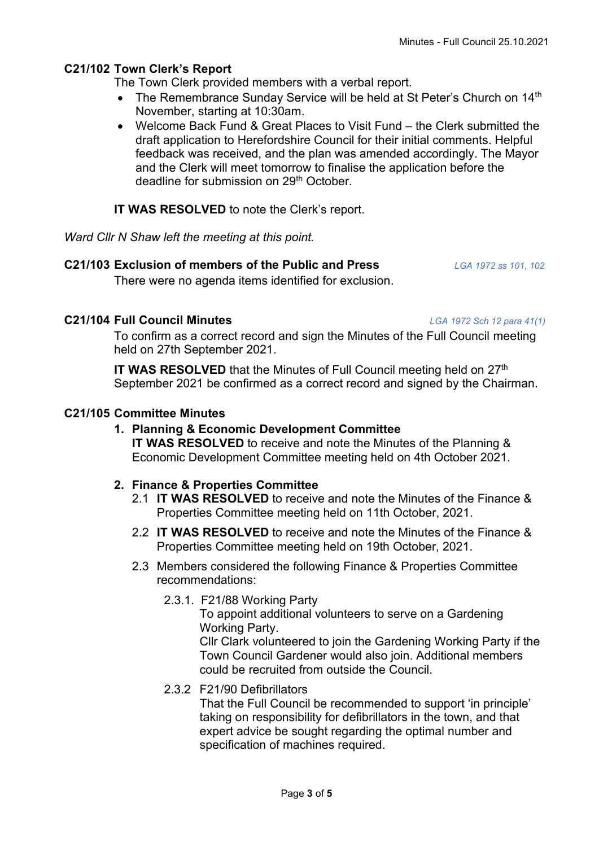# **C21/102 Town Clerk's Report**

The Town Clerk provided members with a verbal report.

- The Remembrance Sunday Service will be held at St Peter's Church on 14<sup>th</sup> November, starting at 10:30am.
- Welcome Back Fund & Great Places to Visit Fund the Clerk submitted the draft application to Herefordshire Council for their initial comments. Helpful feedback was received, and the plan was amended accordingly. The Mayor and the Clerk will meet tomorrow to finalise the application before the deadline for submission on 29<sup>th</sup> October.

#### **IT WAS RESOLVED** to note the Clerk's report.

*Ward Cllr N Shaw left the meeting at this point.*

#### **C21/103 Exclusion of members of the Public and Press** *LGA 1972 ss 101, 102*

There were no agenda items identified for exclusion.

#### **C21/104 Full Council Minutes** *LGA 1972 Sch 12 para 41(1)*

To confirm as a correct record and sign the Minutes of the Full Council meeting held on 27th September 2021.

**IT WAS RESOLVED** that the Minutes of Full Council meeting held on 27<sup>th</sup> September 2021 be confirmed as a correct record and signed by the Chairman.

# **C21/105 Committee Minutes**

# **1. Planning & Economic Development Committee**

**IT WAS RESOLVED** to receive and note the Minutes of the Planning & Economic Development Committee meeting held on 4th October 2021*.*

# **2. Finance & Properties Committee**

- 2.1 **IT WAS RESOLVED** to receive and note the Minutes of the Finance & Properties Committee meeting held on 11th October, 2021.
- 2.2 **IT WAS RESOLVED** to receive and note the Minutes of the Finance & Properties Committee meeting held on 19th October, 2021.
- 2.3 Members considered the following Finance & Properties Committee recommendations:
	- 2.3.1. F21/88 Working Party

To appoint additional volunteers to serve on a Gardening Working Party. Cllr Clark volunteered to join the Gardening Working Party if the Town Council Gardener would also join. Additional members

- could be recruited from outside the Council.
- 2.3.2 F21/90 Defibrillators

That the Full Council be recommended to support 'in principle' taking on responsibility for defibrillators in the town, and that expert advice be sought regarding the optimal number and specification of machines required.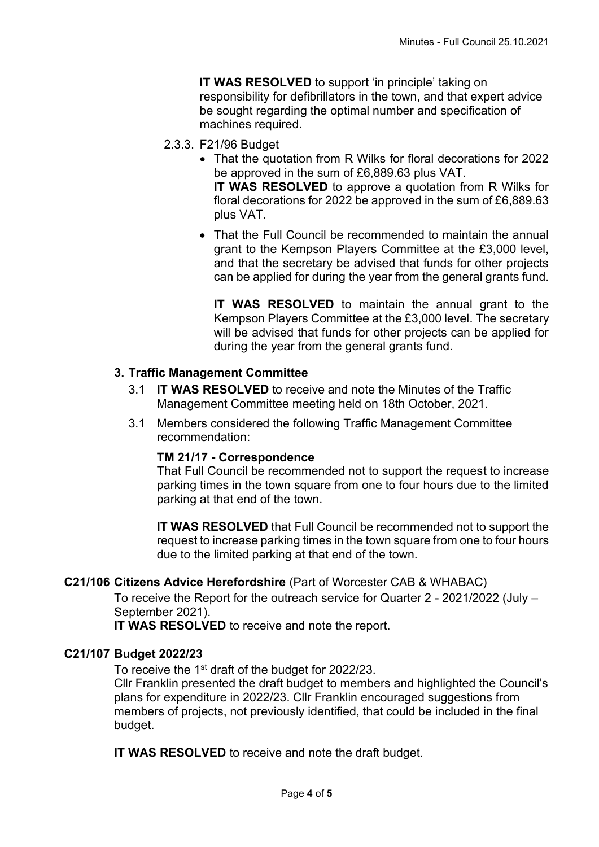**IT WAS RESOLVED** to support 'in principle' taking on responsibility for defibrillators in the town, and that expert advice be sought regarding the optimal number and specification of machines required.

- 2.3.3. F21/96 Budget
	- That the quotation from R Wilks for floral decorations for 2022 be approved in the sum of £6,889.63 plus VAT. **IT WAS RESOLVED** to approve a quotation from R Wilks for floral decorations for 2022 be approved in the sum of £6,889.63 plus VAT.
	- That the Full Council be recommended to maintain the annual grant to the Kempson Players Committee at the £3,000 level, and that the secretary be advised that funds for other projects can be applied for during the year from the general grants fund.

**IT WAS RESOLVED** to maintain the annual grant to the Kempson Players Committee at the £3,000 level. The secretary will be advised that funds for other projects can be applied for during the year from the general grants fund.

# **3. Traffic Management Committee**

- 3.1 **IT WAS RESOLVED** to receive and note the Minutes of the Traffic Management Committee meeting held on 18th October, 2021.
- 3.1 Members considered the following Traffic Management Committee recommendation:

# **TM 21/17 - Correspondence**

That Full Council be recommended not to support the request to increase parking times in the town square from one to four hours due to the limited parking at that end of the town.

**IT WAS RESOLVED** that Full Council be recommended not to support the request to increase parking times in the town square from one to four hours due to the limited parking at that end of the town.

# **C21/106 Citizens Advice Herefordshire** (Part of Worcester CAB & WHABAC)

To receive the Report for the outreach service for Quarter 2 - 2021/2022 (July – September 2021).

**IT WAS RESOLVED** to receive and note the report.

# **C21/107 Budget 2022/23**

To receive the 1<sup>st</sup> draft of the budget for 2022/23.

Cllr Franklin presented the draft budget to members and highlighted the Council's plans for expenditure in 2022/23. Cllr Franklin encouraged suggestions from members of projects, not previously identified, that could be included in the final budget.

**IT WAS RESOLVED** to receive and note the draft budget.